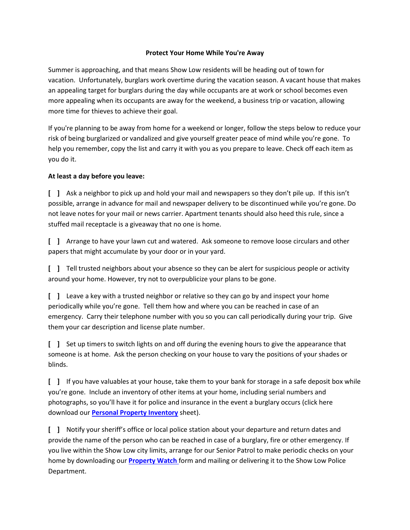## **Protect Your Home While You're Away**

Summer is approaching, and that means Show Low residents will be heading out of town for vacation. Unfortunately, burglars work overtime during the vacation season. A vacant house that makes an appealing target for burglars during the day while occupants are at work or school becomes even more appealing when its occupants are away for the weekend, a business trip or vacation, allowing more time for thieves to achieve their goal.

If you're planning to be away from home for a weekend or longer, follow the steps below to reduce your risk of being burglarized or vandalized and give yourself greater peace of mind while you're gone. To help you remember, copy the list and carry it with you as you prepare to leave. Check off each item as you do it.

## **At least a day before you leave:**

**[ ]** Ask a neighbor to pick up and hold your mail and newspapers so they don't pile up. If this isn't possible, arrange in advance for mail and newspaper delivery to be discontinued while you're gone. Do not leave notes for your mail or news carrier. Apartment tenants should also heed this rule, since a stuffed mail receptacle is a giveaway that no one is home.

**[ ]** Arrange to have your lawn cut and watered. Ask someone to remove loose circulars and other papers that might accumulate by your door or in your yard.

**[ ]** Tell trusted neighbors about your absence so they can be alert for suspicious people or activity around your home. However, try not to overpublicize your plans to be gone.

**[ ]** Leave a key with a trusted neighbor or relative so they can go by and inspect your home periodically while you're gone. Tell them how and where you can be reached in case of an emergency. Carry their telephone number with you so you can call periodically during your trip. Give them your car description and license plate number.

**[ ]** Set up timers to switch lights on and off during the evening hours to give the appearance that someone is at home. Ask the person checking on your house to vary the positions of your shades or blinds.

**[ ]** If you have valuables at your house, take them to your bank for storage in a safe deposit box while you're gone. Include an inventory of other items at your home, including serial numbers and photographs, so you'll have it for police and insurance in the event a burglary occurs (click here download our **[Personal Property Inventory](http://az-showlow.civicplus.com/DocumentCenter/View/360)** sheet).

**[ ]** Notify your sheriff's office or local police station about your departure and return dates and provide the name of the person who can be reached in case of a burglary, fire or other emergency. If you live within the Show Low city limits, arrange for our Senior Patrol to make periodic checks on your home by downloading our **[Property Watch](http://az-showlow.civicplus.com/FormCenter/Police-Department-10/Property-Watch-Form-52)** form and mailing or delivering it to the Show Low Police Department.